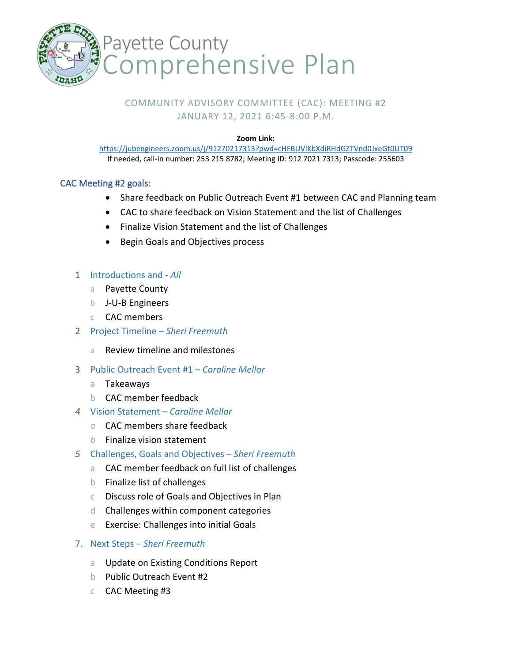

# COMMUNITY ADVISORY COMMITTEE (CAC): MEETING #2 JANUARY 12, 2021 6:45-8:00 P.M.

#### **Zoom Link:**

<https://jubengineers.zoom.us/j/91270217313?pwd=cHFBUVlKbXdiRHdGZTVnd0JxeGt0UT09> If needed, call-in number: 253 215 8782; Meeting ID: 912 7021 7313; Passcode: 255603

## CAC Meeting #2 goals:

- Share feedback on Public Outreach Event #1 between CAC and Planning team
- CAC to share feedback on Vision Statement and the list of Challenges
- Finalize Vision Statement and the list of Challenges
- Begin Goals and Objectives process

### 1 Introductions and - *All*

- a Payette County
- b J-U-B Engineers
- c CAC members
- 2 Project Timeline *Sheri Freemuth*
	- a Review timeline and milestones
- 3 Public Outreach Event #1 *Caroline Mellor*
	- a Takeaways
	- b CAC member feedback
- *4* Vision Statement *Caroline Mellor*
	- *a* CAC members share feedback
	- *b* Finalize vision statement
- *5* Challenges, Goals and Objectives *– Sheri Freemuth* 
	- a CAC member feedback on full list of challenges
	- b Finalize list of challenges
	- c Discuss role of Goals and Objectives in Plan
	- d Challenges within component categories
	- e Exercise: Challenges into initial Goals
- 7. Next Steps *Sheri Freemuth*
	- a Update on Existing Conditions Report
	- b Public Outreach Event #2
	- c CAC Meeting #3